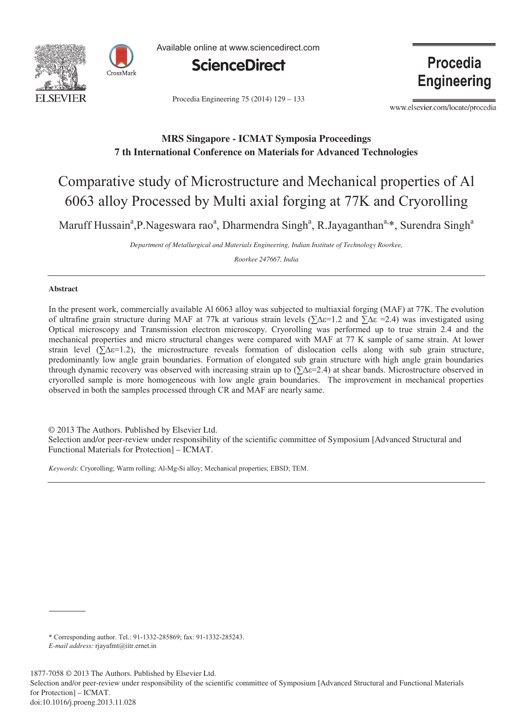



Available online at www.sciencedirect.com



Procedia Engineering 75 (2014) 129 - 133

Procedia **Engineering** 

www.elsevier.com/locate/procedia

# **MRS Singapore - ICMAT Symposia Proceedings 7 th International Conference on Materials for Advanced Technologies**

# Comparative study of Microstructure and Mechanical properties of Al 6063 alloy Processed by Multi axial forging at 77K and Cryorolling

Maruff Hussain<sup>a</sup>, P. Nageswara rao<sup>a</sup>, Dharmendra Singh<sup>a</sup>, R. Jayaganthan<sup>a, \*</sup>, Surendra Singh<sup>a</sup>

*Department of Metallurgical and Materials Engineering, Indian Institute of Technology Roorkee,* 

*Roorkee 247667, India* 

## **Abstract**

In the present work, commercially available Al 6063 alloy was subjected to multiaxial forging (MAF) at 77K. The evolution of ultrafine grain structure during MAF at 77k at various strain levels ( $\sum \Delta \epsilon = 1.2$  and  $\sum \Delta \epsilon = 2.4$ ) was investigated using Optical microscopy and Transmission electron microscopy. Cryorolling was performed up to true strain 2.4 and the mechanical properties and micro structural changes were compared with MAF at 77 K sample of same strain. At lower strain level ( $\sum \Delta \varepsilon = 1.2$ ), the microstructure reveals formation of dislocation cells along with sub grain structure, predominantly low angle grain boundaries. Formation of elongated sub grain structure with high angle grain boundaries through dynamic recovery was observed with increasing strain up to (∑∆ε=2.4) at shear bands. Microstructure observed in cryorolled sample is more homogeneous with low angle grain boundaries. The improvement in mechanical properties observed in both the samples processed through CR and MAF are nearly same.

© 2013 The Authors. Published by Elsevier Ltd. © 2013 The Authors. Published by Elsevier Ltd.

Selection and/or peer-review under responsibility of the scientific committee of Symposium [Advanced Structural and Functional Materials for Protection**]** – ICMAT. Functional Materials for Protection] – ICMAT.

*Keywords*: Cryorolling; Warm rolling; Al-Mg-Si alloy; Mechanical properties; EBSD; TEM.

Selection and/or peer-review under responsibility of the scientific committee of Symposium [Advanced Structural and Functional Materials for Protection] – ICMAT.

<sup>\*</sup> Corresponding author. Tel.: 91-1332-285869; fax: 91-1332-285243.

*E-mail address:* rjayafmt@iitr.ernet.in

<sup>1877-7058 © 2013</sup> The Authors. Published by Elsevier Ltd.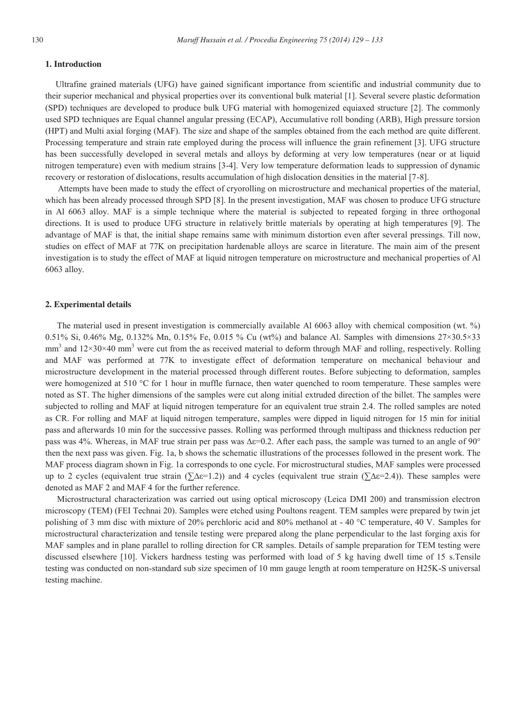#### **1. Introduction**

Ultrafine grained materials (UFG) have gained significant importance from scientific and industrial community due to their superior mechanical and physical properties over its conventional bulk material [1]. Several severe plastic deformation (SPD) techniques are developed to produce bulk UFG material with homogenized equiaxed structure [2]. The commonly used SPD techniques are Equal channel angular pressing (ECAP), Accumulative roll bonding (ARB), High pressure torsion (HPT) and Multi axial forging (MAF). The size and shape of the samples obtained from the each method are quite different. Processing temperature and strain rate employed during the process will influence the grain refinement [3]. UFG structure has been successfully developed in several metals and alloys by deforming at very low temperatures (near or at liquid nitrogen temperature) even with medium strains [3-4]. Very low temperature deformation leads to suppression of dynamic recovery or restoration of dislocations, results accumulation of high dislocation densities in the material [7-8].

 Attempts have been made to study the effect of cryorolling on microstructure and mechanical properties of the material, which has been already processed through SPD [8]. In the present investigation, MAF was chosen to produce UFG structure in Al 6063 alloy. MAF is a simple technique where the material is subjected to repeated forging in three orthogonal directions. It is used to produce UFG structure in relatively brittle materials by operating at high temperatures [9]. The advantage of MAF is that, the initial shape remains same with minimum distortion even after several pressings. Till now, studies on effect of MAF at 77K on precipitation hardenable alloys are scarce in literature. The main aim of the present investigation is to study the effect of MAF at liquid nitrogen temperature on microstructure and mechanical properties of Al 6063 alloy.

#### **2. Experimental details**

The material used in present investigation is commercially available Al 6063 alloy with chemical composition (wt. %) 0.51% Si, 0.46% Mg, 0.132% Mn, 0.15% Fe, 0.015 % Cu (wt%) and balance Al. Samples with dimensions 27×30.5×33  $mm<sup>3</sup>$  and  $12\times30\times40$  mm<sup>3</sup> were cut from the as received material to deform through MAF and rolling, respectively. Rolling and MAF was performed at 77K to investigate effect of deformation temperature on mechanical behaviour and microstructure development in the material processed through different routes. Before subjecting to deformation, samples were homogenized at 510 °C for 1 hour in muffle furnace, then water quenched to room temperature. These samples were noted as ST. The higher dimensions of the samples were cut along initial extruded direction of the billet. The samples were subjected to rolling and MAF at liquid nitrogen temperature for an equivalent true strain 2.4. The rolled samples are noted as CR. For rolling and MAF at liquid nitrogen temperature, samples were dipped in liquid nitrogen for 15 min for initial pass and afterwards 10 min for the successive passes. Rolling was performed through multipass and thickness reduction per pass was 4%. Whereas, in MAF true strain per pass was  $\Delta \epsilon = 0.2$ . After each pass, the sample was turned to an angle of 90° then the next pass was given. Fig. 1a, b shows the schematic illustrations of the processes followed in the present work. The MAF process diagram shown in Fig. 1a corresponds to one cycle. For microstructural studies, MAF samples were processed up to 2 cycles (equivalent true strain (∑∆ε=1.2)) and 4 cycles (equivalent true strain (∑∆ε=2.4)). These samples were denoted as MAF 2 and MAF 4 for the further reference.

Microstructural characterization was carried out using optical microscopy (Leica DMI 200) and transmission electron microscopy (TEM) (FEI Technai 20). Samples were etched using Poultons reagent. TEM samples were prepared by twin jet polishing of 3 mm disc with mixture of 20% perchloric acid and 80% methanol at - 40 °C temperature, 40 V. Samples for microstructural characterization and tensile testing were prepared along the plane perpendicular to the last forging axis for MAF samples and in plane parallel to rolling direction for CR samples. Details of sample preparation for TEM testing were discussed elsewhere [10]. Vickers hardness testing was performed with load of 5 kg having dwell time of 15 s.Tensile testing was conducted on non-standard sub size specimen of 10 mm gauge length at room temperature on H25K-S universal testing machine.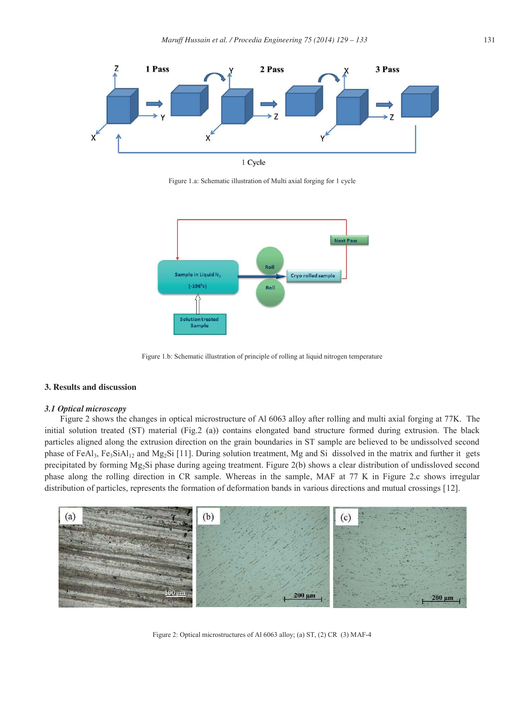

Figure 1.a: Schematic illustration of Multi axial forging for 1 cycle



Figure 1.b: Schematic illustration of principle of rolling at liquid nitrogen temperature

## **3. Results and discussion**

#### *3.1 Optical microscopy*

Figure 2 shows the changes in optical microstructure of Al 6063 alloy after rolling and multi axial forging at 77K. The initial solution treated (ST) material (Fig.2 (a)) contains elongated band structure formed during extrusion. The black particles aligned along the extrusion direction on the grain boundaries in ST sample are believed to be undissolved second phase of FeAl<sub>3</sub>, Fe<sub>3</sub>SiAl<sub>12</sub> and Mg<sub>2</sub>Si [11]. During solution treatment, Mg and Si dissolved in the matrix and further it gets precipitated by forming  $Mg_2Si$  phase during ageing treatment. Figure 2(b) shows a clear distribution of undissloved second phase along the rolling direction in CR sample. Whereas in the sample, MAF at 77 K in Figure 2.c shows irregular distribution of particles, represents the formation of deformation bands in various directions and mutual crossings [12].



Figure 2: Optical microstructures of Al 6063 alloy; (a) ST, (2) CR (3) MAF-4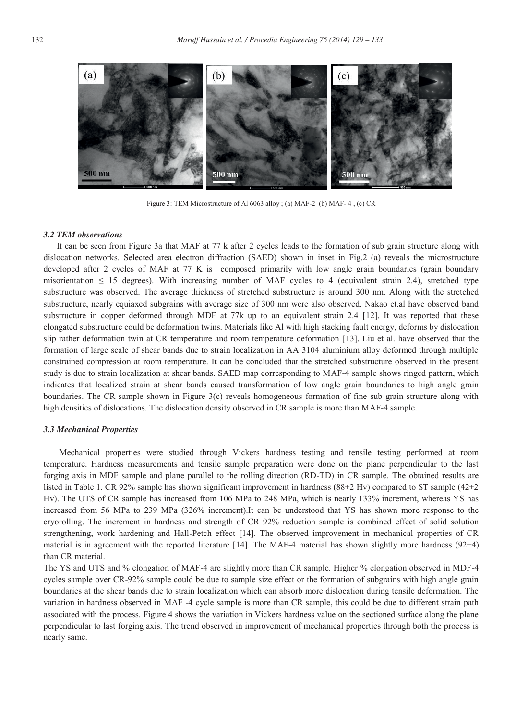

Figure 3: TEM Microstructure of Al 6063 alloy ; (a) MAF-2 (b) MAF- 4 , (c) CR

#### *3.2 TEM observations*

It can be seen from Figure 3a that MAF at 77 k after 2 cycles leads to the formation of sub grain structure along with dislocation networks. Selected area electron diffraction (SAED) shown in inset in Fig.2 (a) reveals the microstructure developed after 2 cycles of MAF at 77 K is composed primarily with low angle grain boundaries (grain boundary misorientation  $\leq 15$  degrees). With increasing number of MAF cycles to 4 (equivalent strain 2.4), stretched type substructure was observed. The average thickness of stretched substructure is around 300 nm. Along with the stretched substructure, nearly equiaxed subgrains with average size of 300 nm were also observed. Nakao et.al have observed band substructure in copper deformed through MDF at 77k up to an equivalent strain 2.4 [12]. It was reported that these elongated substructure could be deformation twins. Materials like Al with high stacking fault energy, deforms by dislocation slip rather deformation twin at CR temperature and room temperature deformation [13]. Liu et al. have observed that the formation of large scale of shear bands due to strain localization in AA 3104 aluminium alloy deformed through multiple constrained compression at room temperature. It can be concluded that the stretched substructure observed in the present study is due to strain localization at shear bands. SAED map corresponding to MAF-4 sample shows ringed pattern, which indicates that localized strain at shear bands caused transformation of low angle grain boundaries to high angle grain boundaries. The CR sample shown in Figure 3(c) reveals homogeneous formation of fine sub grain structure along with high densities of dislocations. The dislocation density observed in CR sample is more than MAF-4 sample.

#### *3.3 Mechanical Properties*

Mechanical properties were studied through Vickers hardness testing and tensile testing performed at room temperature. Hardness measurements and tensile sample preparation were done on the plane perpendicular to the last forging axis in MDF sample and plane parallel to the rolling direction (RD-TD) in CR sample. The obtained results are listed in Table 1. CR 92% sample has shown significant improvement in hardness (88±2 Hv) compared to ST sample (42±2 Hv). The UTS of CR sample has increased from 106 MPa to 248 MPa, which is nearly 133% increment, whereas YS has increased from 56 MPa to 239 MPa (326% increment).It can be understood that YS has shown more response to the cryorolling. The increment in hardness and strength of CR 92% reduction sample is combined effect of solid solution strengthening, work hardening and Hall-Petch effect [14]. The observed improvement in mechanical properties of CR material is in agreement with the reported literature [14]. The MAF-4 material has shown slightly more hardness ( $92\pm4$ ) than CR material.

The YS and UTS and % elongation of MAF-4 are slightly more than CR sample. Higher % elongation observed in MDF-4 cycles sample over CR-92% sample could be due to sample size effect or the formation of subgrains with high angle grain boundaries at the shear bands due to strain localization which can absorb more dislocation during tensile deformation. The variation in hardness observed in MAF -4 cycle sample is more than CR sample, this could be due to different strain path associated with the process. Figure 4 shows the variation in Vickers hardness value on the sectioned surface along the plane perpendicular to last forging axis. The trend observed in improvement of mechanical properties through both the process is nearly same.